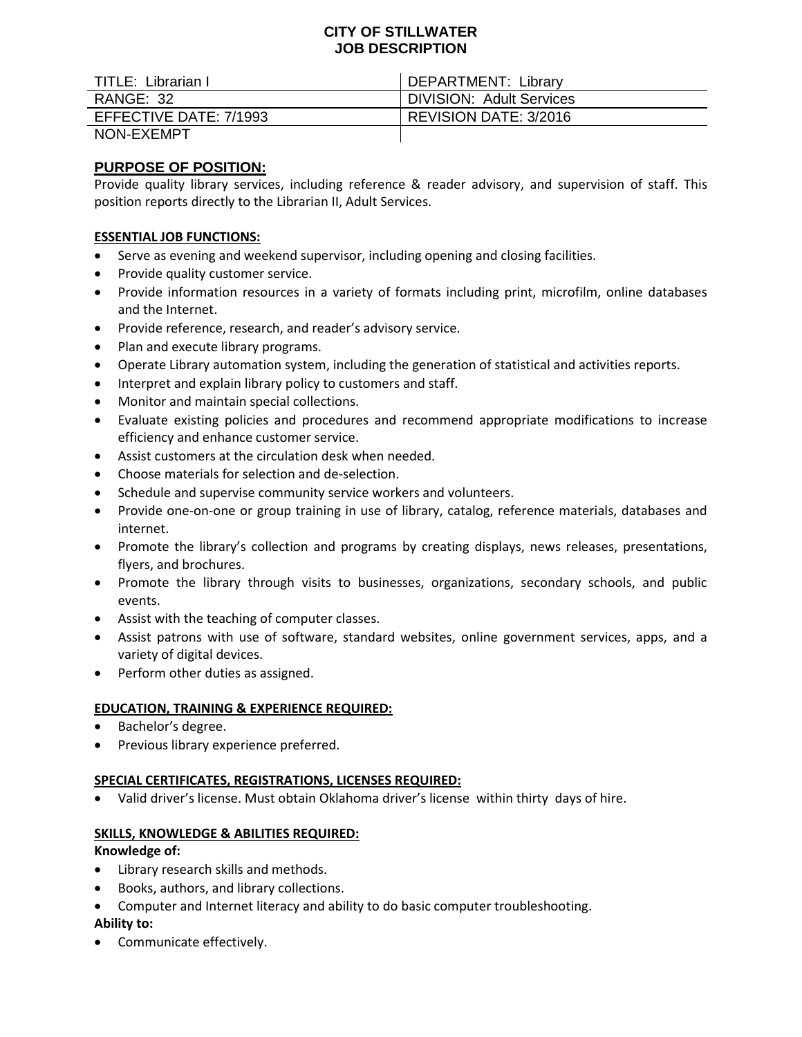## **CITY OF STILLWATER JOB DESCRIPTION**

| TITLE: Librarian I     | <b>DEPARTMENT: Library</b>      |
|------------------------|---------------------------------|
| RANGE: 32              | <b>DIVISION: Adult Services</b> |
| EFFECTIVE DATE: 7/1993 | REVISION DATE: 3/2016           |
| NON-EXEMPT             |                                 |

# **PURPOSE OF POSITION:**

Provide quality library services, including reference & reader advisory, and supervision of staff. This position reports directly to the Librarian II, Adult Services.

## **ESSENTIAL JOB FUNCTIONS:**

- Serve as evening and weekend supervisor, including opening and closing facilities.
- Provide quality customer service.
- Provide information resources in a variety of formats including print, microfilm, online databases and the Internet.
- Provide reference, research, and reader's advisory service.
- Plan and execute library programs.
- Operate Library automation system, including the generation of statistical and activities reports.
- Interpret and explain library policy to customers and staff.
- Monitor and maintain special collections.
- Evaluate existing policies and procedures and recommend appropriate modifications to increase efficiency and enhance customer service.
- Assist customers at the circulation desk when needed.
- Choose materials for selection and de-selection.
- Schedule and supervise community service workers and volunteers.
- Provide one-on-one or group training in use of library, catalog, reference materials, databases and internet.
- Promote the library's collection and programs by creating displays, news releases, presentations, flyers, and brochures.
- Promote the library through visits to businesses, organizations, secondary schools, and public events.
- Assist with the teaching of computer classes.
- Assist patrons with use of software, standard websites, online government services, apps, and a variety of digital devices.
- Perform other duties as assigned.

### **EDUCATION, TRAINING & EXPERIENCE REQUIRED:**

- Bachelor's degree.
- **•** Previous library experience preferred.

### **SPECIAL CERTIFICATES, REGISTRATIONS, LICENSES REQUIRED:**

Valid driver's license. Must obtain Oklahoma driver's license within thirty days of hire.

### **SKILLS, KNOWLEDGE & ABILITIES REQUIRED:**

### **Knowledge of:**

- Library research skills and methods.
- Books, authors, and library collections.
- Computer and Internet literacy and ability to do basic computer troubleshooting.

## **Ability to:**

• Communicate effectively.